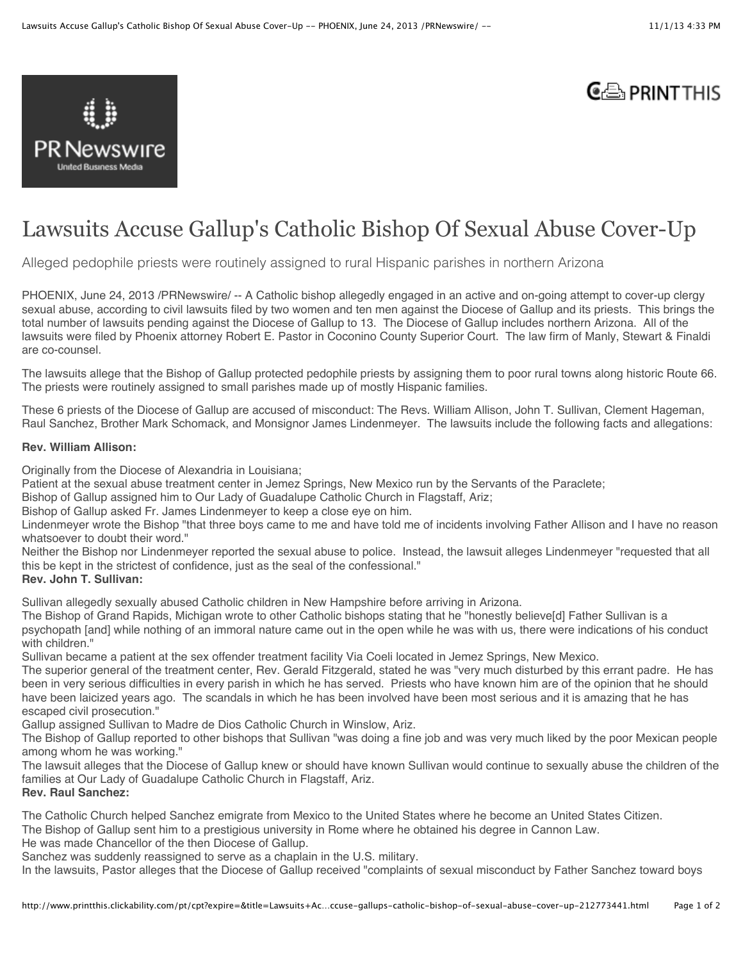

# $C \oplus$  PRINT THIS

# Lawsuits Accuse Gallup's Catholic Bishop Of Sexual Abuse Cover-Up

Alleged pedophile priests were routinely assigned to rural Hispanic parishes in northern Arizona

PHOENIX, June 24, 2013 /PRNewswire/ -- A Catholic bishop allegedly engaged in an active and on-going attempt to cover-up clergy sexual abuse, according to civil lawsuits filed by two women and ten men against the Diocese of Gallup and its priests. This brings the total number of lawsuits pending against the Diocese of Gallup to 13. The Diocese of Gallup includes northern Arizona. All of the lawsuits were filed by Phoenix attorney Robert E. Pastor in Coconino County Superior Court. The law firm of Manly, Stewart & Finaldi are co-counsel.

The lawsuits allege that the Bishop of Gallup protected pedophile priests by assigning them to poor rural towns along historic Route 66. The priests were routinely assigned to small parishes made up of mostly Hispanic families.

These 6 priests of the Diocese of Gallup are accused of misconduct: The Revs. William Allison, John T. Sullivan, Clement Hageman, Raul Sanchez, Brother Mark Schomack, and Monsignor James Lindenmeyer. The lawsuits include the following facts and allegations:

#### **Rev. William Allison:**

Originally from the Diocese of Alexandria in Louisiana;

Patient at the sexual abuse treatment center in Jemez Springs, New Mexico run by the Servants of the Paraclete;

Bishop of Gallup assigned him to Our Lady of Guadalupe Catholic Church in Flagstaff, Ariz;

Bishop of Gallup asked Fr. James Lindenmeyer to keep a close eye on him.

Lindenmeyer wrote the Bishop "that three boys came to me and have told me of incidents involving Father Allison and I have no reason whatsoever to doubt their word."

Neither the Bishop nor Lindenmeyer reported the sexual abuse to police. Instead, the lawsuit alleges Lindenmeyer "requested that all this be kept in the strictest of confidence, just as the seal of the confessional."

#### **Rev. John T. Sullivan:**

Sullivan allegedly sexually abused Catholic children in New Hampshire before arriving in Arizona.

The Bishop of Grand Rapids, Michigan wrote to other Catholic bishops stating that he "honestly believe[d] Father Sullivan is a psychopath [and] while nothing of an immoral nature came out in the open while he was with us, there were indications of his conduct with children."

Sullivan became a patient at the sex offender treatment facility Via Coeli located in Jemez Springs, New Mexico.

The superior general of the treatment center, Rev. Gerald Fitzgerald, stated he was "very much disturbed by this errant padre. He has been in very serious difficulties in every parish in which he has served. Priests who have known him are of the opinion that he should have been laicized years ago. The scandals in which he has been involved have been most serious and it is amazing that he has escaped civil prosecution."

Gallup assigned Sullivan to Madre de Dios Catholic Church in Winslow, Ariz.

The Bishop of Gallup reported to other bishops that Sullivan "was doing a fine job and was very much liked by the poor Mexican people among whom he was working."

The lawsuit alleges that the Diocese of Gallup knew or should have known Sullivan would continue to sexually abuse the children of the families at Our Lady of Guadalupe Catholic Church in Flagstaff, Ariz. **Rev. Raul Sanchez:** 

The Catholic Church helped Sanchez emigrate from Mexico to the United States where he become an United States Citizen.

The Bishop of Gallup sent him to a prestigious university in Rome where he obtained his degree in Cannon Law.

He was made Chancellor of the then Diocese of Gallup.

Sanchez was suddenly reassigned to serve as a chaplain in the U.S. military.

In the lawsuits, Pastor alleges that the Diocese of Gallup received "complaints of sexual misconduct by Father Sanchez toward boys